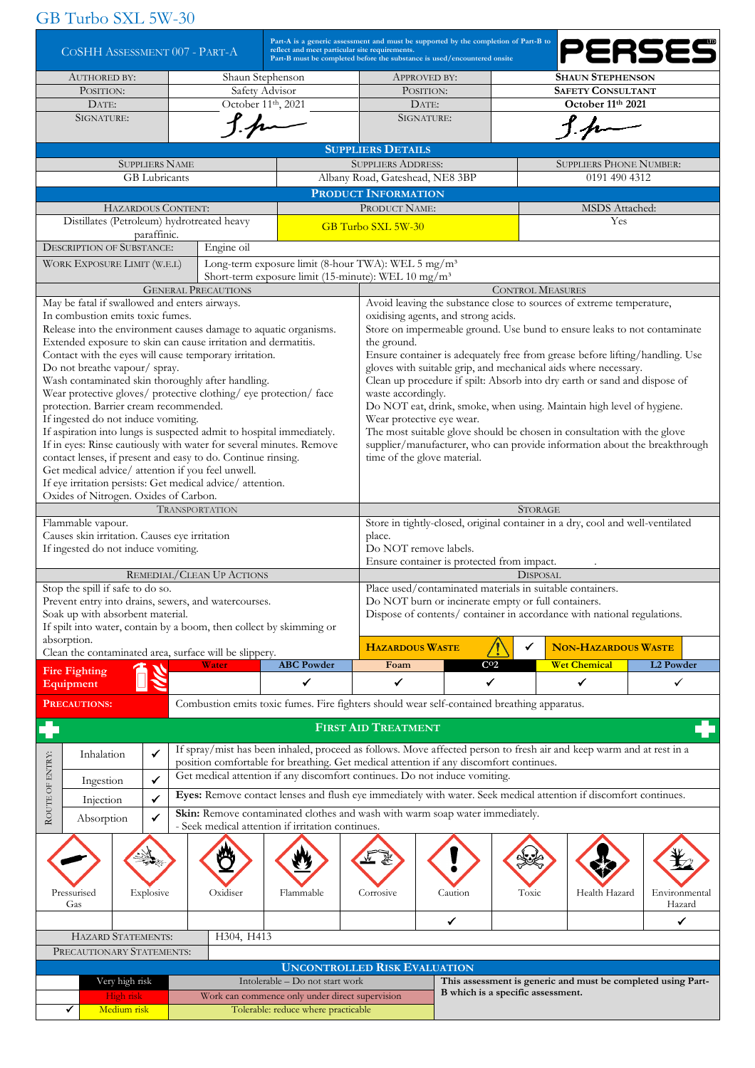## GB Turbo SXL 5W-30

| COSHH ASSESSMENT 007 - PART-A                                                                                          | Part-A is a generic assessment and must be supported by the completion of Part-B to<br>reflect and meet particular site requirements.<br>Part-B must be completed before the substance is used/encountered onsite |                                                                                                 |                                   |                                                              |                                                                          | PERSES                                                                    |  |  |  |
|------------------------------------------------------------------------------------------------------------------------|-------------------------------------------------------------------------------------------------------------------------------------------------------------------------------------------------------------------|-------------------------------------------------------------------------------------------------|-----------------------------------|--------------------------------------------------------------|--------------------------------------------------------------------------|---------------------------------------------------------------------------|--|--|--|
| <b>AUTHORED BY:</b>                                                                                                    | Shaun Stephenson                                                                                                                                                                                                  | APPROVED BY:                                                                                    |                                   |                                                              | <b>SHAUN STEPHENSON</b>                                                  |                                                                           |  |  |  |
| POSITION:                                                                                                              | Safety Advisor                                                                                                                                                                                                    | POSITION:                                                                                       |                                   |                                                              | <b>SAFETY CONSULTANT</b>                                                 |                                                                           |  |  |  |
| DATE:                                                                                                                  | October 11th, 2021                                                                                                                                                                                                | DATE:                                                                                           |                                   |                                                              | October 11th 2021                                                        |                                                                           |  |  |  |
| SIGNATURE:<br>$1.4-$                                                                                                   |                                                                                                                                                                                                                   | SIGNATURE:                                                                                      |                                   |                                                              |                                                                          |                                                                           |  |  |  |
| <b>SUPPLIERS NAME</b>                                                                                                  |                                                                                                                                                                                                                   | <b>SUPPLIERS DETAILS</b>                                                                        |                                   |                                                              | <b>SUPPLIERS PHONE NUMBER:</b>                                           |                                                                           |  |  |  |
| <b>GB</b> Lubricants                                                                                                   |                                                                                                                                                                                                                   | <b>SUPPLIERS ADDRESS:</b><br>Albany Road, Gateshead, NE8 3BP                                    |                                   |                                                              | 0191 490 4312                                                            |                                                                           |  |  |  |
|                                                                                                                        |                                                                                                                                                                                                                   | PRODUCT INFORMATION                                                                             |                                   |                                                              |                                                                          |                                                                           |  |  |  |
| <b>HAZARDOUS CONTENT:</b>                                                                                              |                                                                                                                                                                                                                   | PRODUCT NAME:                                                                                   |                                   |                                                              | <b>MSDS</b> Attached:                                                    |                                                                           |  |  |  |
| Distillates (Petroleum) hydrotreated heavy                                                                             |                                                                                                                                                                                                                   |                                                                                                 |                                   |                                                              |                                                                          |                                                                           |  |  |  |
| paraffinic.                                                                                                            |                                                                                                                                                                                                                   | GB Turbo SXL 5W-30                                                                              |                                   |                                                              |                                                                          |                                                                           |  |  |  |
| <b>DESCRIPTION OF SUBSTANCE:</b><br>Engine oil                                                                         |                                                                                                                                                                                                                   |                                                                                                 |                                   |                                                              |                                                                          |                                                                           |  |  |  |
| WORK EXPOSURE LIMIT (W.E.L)                                                                                            | Long-term exposure limit (8-hour TWA): WEL 5 mg/m <sup>3</sup>                                                                                                                                                    |                                                                                                 |                                   |                                                              |                                                                          |                                                                           |  |  |  |
| <b>GENERAL PRECAUTIONS</b>                                                                                             |                                                                                                                                                                                                                   | Short-term exposure limit (15-minute): WEL 10 mg/m <sup>3</sup><br><b>CONTROL MEASURES</b>      |                                   |                                                              |                                                                          |                                                                           |  |  |  |
| May be fatal if swallowed and enters airways.                                                                          |                                                                                                                                                                                                                   |                                                                                                 |                                   |                                                              | Avoid leaving the substance close to sources of extreme temperature,     |                                                                           |  |  |  |
| In combustion emits toxic fumes.                                                                                       |                                                                                                                                                                                                                   | oxidising agents, and strong acids.                                                             |                                   |                                                              |                                                                          |                                                                           |  |  |  |
| Release into the environment causes damage to aquatic organisms.                                                       |                                                                                                                                                                                                                   |                                                                                                 |                                   |                                                              | Store on impermeable ground. Use bund to ensure leaks to not contaminate |                                                                           |  |  |  |
| Extended exposure to skin can cause irritation and dermatitis.                                                         |                                                                                                                                                                                                                   | the ground.                                                                                     |                                   |                                                              |                                                                          |                                                                           |  |  |  |
| Contact with the eyes will cause temporary irritation.                                                                 |                                                                                                                                                                                                                   | Ensure container is adequately free from grease before lifting/handling. Use                    |                                   |                                                              |                                                                          |                                                                           |  |  |  |
| Do not breathe vapour/ spray.                                                                                          |                                                                                                                                                                                                                   |                                                                                                 |                                   |                                                              | gloves with suitable grip, and mechanical aids where necessary.          |                                                                           |  |  |  |
| Wash contaminated skin thoroughly after handling.<br>Wear protective gloves/ protective clothing/ eye protection/ face |                                                                                                                                                                                                                   | Clean up procedure if spilt: Absorb into dry earth or sand and dispose of<br>waste accordingly. |                                   |                                                              |                                                                          |                                                                           |  |  |  |
| protection. Barrier cream recommended.                                                                                 |                                                                                                                                                                                                                   |                                                                                                 |                                   |                                                              | Do NOT eat, drink, smoke, when using. Maintain high level of hygiene.    |                                                                           |  |  |  |
| If ingested do not induce vomiting.                                                                                    |                                                                                                                                                                                                                   | Wear protective eye wear.                                                                       |                                   |                                                              |                                                                          |                                                                           |  |  |  |
| If aspiration into lungs is suspected admit to hospital immediately.                                                   |                                                                                                                                                                                                                   |                                                                                                 |                                   |                                                              | The most suitable glove should be chosen in consultation with the glove  |                                                                           |  |  |  |
| If in eyes: Rinse cautiously with water for several minutes. Remove                                                    |                                                                                                                                                                                                                   |                                                                                                 |                                   |                                                              |                                                                          | supplier/manufacturer, who can provide information about the breakthrough |  |  |  |
| contact lenses, if present and easy to do. Continue rinsing.<br>Get medical advice/ attention if you feel unwell.      |                                                                                                                                                                                                                   | time of the glove material.                                                                     |                                   |                                                              |                                                                          |                                                                           |  |  |  |
| If eye irritation persists: Get medical advice/ attention.                                                             |                                                                                                                                                                                                                   |                                                                                                 |                                   |                                                              |                                                                          |                                                                           |  |  |  |
| Oxides of Nitrogen. Oxides of Carbon.                                                                                  |                                                                                                                                                                                                                   |                                                                                                 |                                   |                                                              |                                                                          |                                                                           |  |  |  |
| <b>TRANSPORTATION</b>                                                                                                  |                                                                                                                                                                                                                   | <b>STORAGE</b>                                                                                  |                                   |                                                              |                                                                          |                                                                           |  |  |  |
| Flammable vapour.                                                                                                      |                                                                                                                                                                                                                   | Store in tightly-closed, original container in a dry, cool and well-ventilated                  |                                   |                                                              |                                                                          |                                                                           |  |  |  |
| Causes skin irritation. Causes eye irritation                                                                          |                                                                                                                                                                                                                   | place.                                                                                          |                                   |                                                              |                                                                          |                                                                           |  |  |  |
| If ingested do not induce vomiting.                                                                                    |                                                                                                                                                                                                                   | Do NOT remove labels.<br>Ensure container is protected from impact.                             |                                   |                                                              |                                                                          |                                                                           |  |  |  |
| REMEDIAL/CLEAN UP ACTIONS                                                                                              |                                                                                                                                                                                                                   |                                                                                                 |                                   | <b>DISPOSAL</b>                                              |                                                                          |                                                                           |  |  |  |
| Stop the spill if safe to do so.                                                                                       |                                                                                                                                                                                                                   | Place used/contaminated materials in suitable containers.                                       |                                   |                                                              |                                                                          |                                                                           |  |  |  |
| Prevent entry into drains, sewers, and watercourses.                                                                   |                                                                                                                                                                                                                   | Do NOT burn or incinerate empty or full containers.                                             |                                   |                                                              |                                                                          |                                                                           |  |  |  |
| Soak up with absorbent material.                                                                                       |                                                                                                                                                                                                                   |                                                                                                 |                                   |                                                              | Dispose of contents/ container in accordance with national regulations.  |                                                                           |  |  |  |
| If spilt into water, contain by a boom, then collect by skimming or<br>absorption.                                     |                                                                                                                                                                                                                   |                                                                                                 |                                   |                                                              |                                                                          |                                                                           |  |  |  |
| Clean the contaminated area, surface will be slippery.                                                                 |                                                                                                                                                                                                                   | <b>HAZARDOUS WASTE</b>                                                                          |                                   | ✓                                                            | <b>NON-HAZARDOUS WASTE</b>                                               |                                                                           |  |  |  |
| Water<br><b>Fire Fighting</b>                                                                                          | <b>ABC</b> Powder                                                                                                                                                                                                 | Foam                                                                                            | C <sub>02</sub>                   |                                                              | <b>Wet Chemical</b>                                                      | L2 Powder                                                                 |  |  |  |
| Equipment                                                                                                              | ✓                                                                                                                                                                                                                 | ✓                                                                                               | $\checkmark$                      |                                                              | $\checkmark$                                                             | ✓                                                                         |  |  |  |
| <b>PRECAUTIONS:</b>                                                                                                    | Combustion emits toxic fumes. Fire fighters should wear self-contained breathing apparatus.                                                                                                                       |                                                                                                 |                                   |                                                              |                                                                          |                                                                           |  |  |  |
|                                                                                                                        |                                                                                                                                                                                                                   |                                                                                                 |                                   |                                                              |                                                                          |                                                                           |  |  |  |
|                                                                                                                        |                                                                                                                                                                                                                   | <b>FIRST AID TREATMENT</b>                                                                      |                                   |                                                              |                                                                          |                                                                           |  |  |  |
| ✓<br>Inhalation                                                                                                        | If spray/mist has been inhaled, proceed as follows. Move affected person to fresh air and keep warm and at rest in a                                                                                              |                                                                                                 |                                   |                                                              |                                                                          |                                                                           |  |  |  |
| ROUTE OF ENTRY:                                                                                                        | position comfortable for breathing. Get medical attention if any discomfort continues.<br>Get medical attention if any discomfort continues. Do not induce vomiting.                                              |                                                                                                 |                                   |                                                              |                                                                          |                                                                           |  |  |  |
| $\checkmark$<br>Ingestion                                                                                              | Eyes: Remove contact lenses and flush eye immediately with water. Seek medical attention if discomfort continues.                                                                                                 |                                                                                                 |                                   |                                                              |                                                                          |                                                                           |  |  |  |
| $\checkmark$<br>Injection                                                                                              |                                                                                                                                                                                                                   |                                                                                                 |                                   |                                                              |                                                                          |                                                                           |  |  |  |
| $\checkmark$<br>Absorption                                                                                             | Skin: Remove contaminated clothes and wash with warm soap water immediately.<br>- Seek medical attention if irritation continues.                                                                                 |                                                                                                 |                                   |                                                              |                                                                          |                                                                           |  |  |  |
|                                                                                                                        |                                                                                                                                                                                                                   |                                                                                                 |                                   |                                                              |                                                                          |                                                                           |  |  |  |
|                                                                                                                        |                                                                                                                                                                                                                   |                                                                                                 |                                   |                                                              |                                                                          |                                                                           |  |  |  |
|                                                                                                                        |                                                                                                                                                                                                                   |                                                                                                 |                                   |                                                              |                                                                          |                                                                           |  |  |  |
|                                                                                                                        |                                                                                                                                                                                                                   |                                                                                                 |                                   |                                                              |                                                                          |                                                                           |  |  |  |
| Explosive<br>Oxidiser<br>Pressurised<br>Gas                                                                            | Flammable                                                                                                                                                                                                         | Corrosive                                                                                       | Caution                           | Toxic                                                        | Health Hazard                                                            | Environmental<br>Hazard                                                   |  |  |  |
|                                                                                                                        |                                                                                                                                                                                                                   |                                                                                                 | ✔                                 |                                                              |                                                                          | ✓                                                                         |  |  |  |
| HAZARD STATEMENTS:<br>H304, H413                                                                                       |                                                                                                                                                                                                                   |                                                                                                 |                                   |                                                              |                                                                          |                                                                           |  |  |  |
| PRECAUTIONARY STATEMENTS:                                                                                              |                                                                                                                                                                                                                   |                                                                                                 |                                   |                                                              |                                                                          |                                                                           |  |  |  |
|                                                                                                                        |                                                                                                                                                                                                                   | <b>UNCONTROLLED RISK EVALUATION</b>                                                             |                                   |                                                              |                                                                          |                                                                           |  |  |  |
|                                                                                                                        | Intolerable - Do not start work<br>Very high risk                                                                                                                                                                 |                                                                                                 |                                   | This assessment is generic and must be completed using Part- |                                                                          |                                                                           |  |  |  |
|                                                                                                                        |                                                                                                                                                                                                                   |                                                                                                 |                                   |                                                              |                                                                          |                                                                           |  |  |  |
| High risk<br>Medium risk<br>✔                                                                                          | Work can commence only under direct supervision<br>Tolerable: reduce where practicable                                                                                                                            |                                                                                                 | B which is a specific assessment. |                                                              |                                                                          |                                                                           |  |  |  |